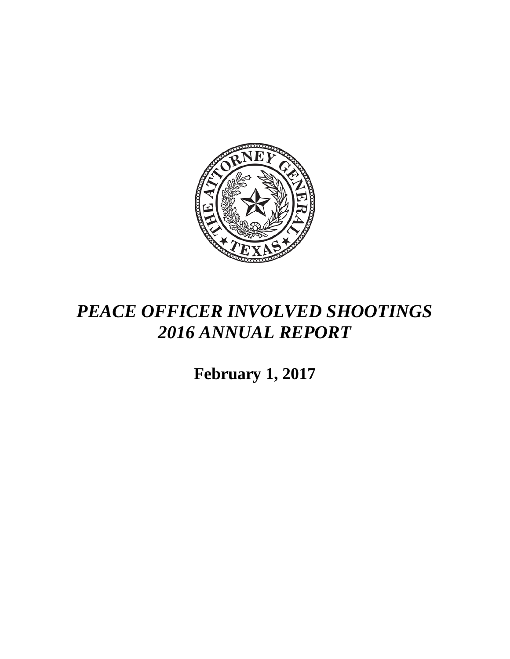

## *PEACE OFFICER INVOLVED SHOOTINGS 2016 ANNUAL REPORT*

**February 1, 2017**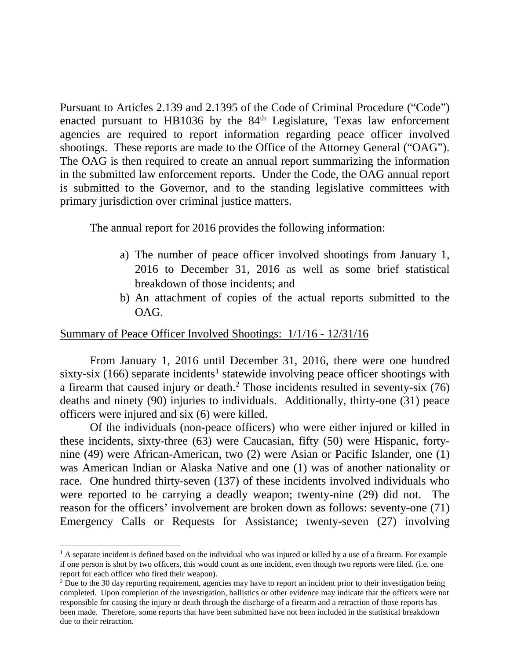Pursuant to Articles 2.139 and 2.1395 of the Code of Criminal Procedure ("Code") enacted pursuant to HB1036 by the  $84<sup>th</sup>$  Legislature, Texas law enforcement agencies are required to report information regarding peace officer involved shootings. These reports are made to the Office of the Attorney General ("OAG"). The OAG is then required to create an annual report summarizing the information in the submitted law enforcement reports. Under the Code, the OAG annual report is submitted to the Governor, and to the standing legislative committees with primary jurisdiction over criminal justice matters.

The annual report for 2016 provides the following information:

- a) The number of peace officer involved shootings from January 1, 2016 to December 31, 2016 as well as some brief statistical breakdown of those incidents; and
- b) An attachment of copies of the actual reports submitted to the OAG.

## Summary of Peace Officer Involved Shootings: 1/1/16 - 12/31/16

From January 1, 2016 until December 31, 2016, there were one hundred sixty-six ([1](#page-1-0)66) separate incidents<sup>1</sup> statewide involving peace officer shootings with a firearm that caused injury or death.[2](#page-1-1) Those incidents resulted in seventy-six (76) deaths and ninety (90) injuries to individuals. Additionally, thirty-one (31) peace officers were injured and six (6) were killed.

Of the individuals (non-peace officers) who were either injured or killed in these incidents, sixty-three (63) were Caucasian, fifty (50) were Hispanic, fortynine (49) were African-American, two (2) were Asian or Pacific Islander, one (1) was American Indian or Alaska Native and one (1) was of another nationality or race. One hundred thirty-seven (137) of these incidents involved individuals who were reported to be carrying a deadly weapon; twenty-nine (29) did not. The reason for the officers' involvement are broken down as follows: seventy-one (71) Emergency Calls or Requests for Assistance; twenty-seven (27) involving

<span id="page-1-0"></span> $<sup>1</sup>$  A separate incident is defined based on the individual who was injured or killed by a use of a firearm. For example</sup> if one person is shot by two officers, this would count as one incident, even though two reports were filed. (i.e. one report for each officer who fired their weapon).

<span id="page-1-1"></span><sup>&</sup>lt;sup>2</sup> Due to the 30 day reporting requirement, agencies may have to report an incident prior to their investigation being completed. Upon completion of the investigation, ballistics or other evidence may indicate that the officers were not responsible for causing the injury or death through the discharge of a firearm and a retraction of those reports has been made. Therefore, some reports that have been submitted have not been included in the statistical breakdown due to their retraction.